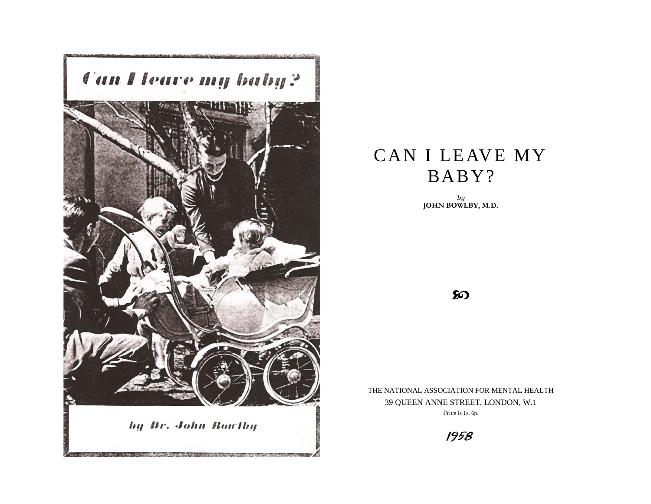

## CAN I LEAVE MY BABY?

*by*  **JOHN BOWLBY, M.D.** 

 $\boldsymbol{\omega}$ 

THE NATIONAL ASSOCIATION FOR MENTAL HEALTH 39 QUEEN ANNE STREET, LONDON, W.1 Price Is 1s. 6p.

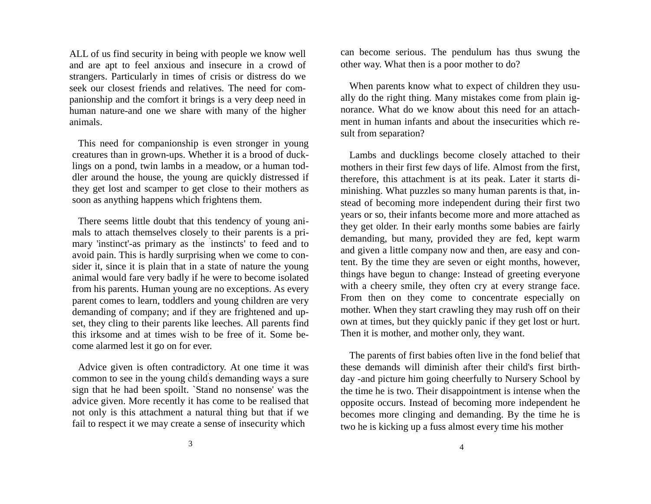ALL of us find security in being with people we know well and are apt to feel anxious and insecure in a crowd of strangers. Particularly in times of crisis or distress do we seek our closest friends and relatives. The need for companionship and the comfort it brings is a very deep need in human nature-and one we share with many of the higher animals.

This need for companionship is even stronger in young creatures than in grown-ups. Whether it is a brood of ducklings on a pond, twin lambs in a meadow, or a human toddler around the house, the young are quickly distressed if they get lost and scamper to get close to their mothers as soon as anything happens which frightens them.

There seems little doubt that this tendency of young animals to attach themselves closely to their parents is a primary 'instinct'-as primary as the `instincts' to feed and to avoid pain. This is hardly surprising when we come to consider it, since it is plain that in a state of nature the young animal would fare very badly if he were to become isolated from his parents. Human young are no exceptions. As every parent comes to learn, toddlers and young children are very demanding of company; and if they are frightened and upset, they cling to their parents like leeches. All parents find this irksome and at times wish to be free of it. Some become alarmed lest it go on for ever.

Advice given is often contradictory. At one time it was common to see in the young child's demanding ways a sure sign that he had been spoilt. `Stand no nonsense' was the advice given. More recently it has come to be realised that not only is this attachment a natural thing but that if we fail to respect it we may create a sense of insecurity which

can become serious. The pendulum has thus swung the other way. What then is a poor mother to do?

When parents know what to expect of children they usually do the right thing. Many mistakes come from plain ignorance. What do we know about this need for an attachment in human infants and about the insecurities which result from separation?

Lambs and ducklings become closely attached to their mothers in their first few days of life. Almost from the first, therefore, this attachment is at its peak. Later it starts diminishing. What puzzles so many human parents is that, instead of becoming more independent during their first two years or so, their infants become more and more attached as they get older. In their early months some babies are fairly demanding, but many, provided they are fed, kept warm and given a little company now and then, are easy and content. By the time they are seven or eight months, however, things have begun to change: Instead of greeting everyone with a cheery smile, they often cry at every strange face. From then on they come to concentrate especially on mother. When they start crawling they may rush off on their own at times, but they quickly panic if they get lost or hurt. Then it is mother, and mother only, they want.

The parents of first babies often live in the fond belief that these demands will diminish after their child's first birthday -and picture him going cheerfully to Nursery School by the time he is two. Their disappointment is intense when the opposite occurs. Instead of becoming more independent he becomes more clinging and demanding. By the time he is two he is kicking up a fuss almost every time his mother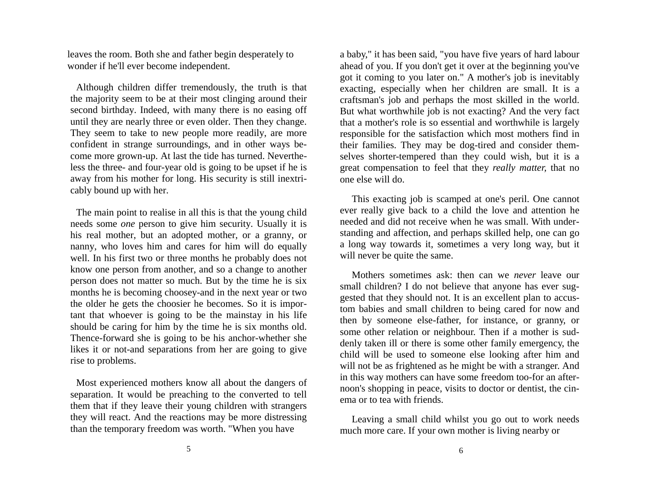leaves the room. Both she and father begin desperately to wonder if he'll ever become independent.

Although children differ tremendously, the truth is that the majority seem to be at their most clinging around their second birthday. Indeed, with many there is no easing off until they are nearly three or even older. Then they change. They seem to take to new people more readily, are more confident in strange surroundings, and in other ways become more grown-up. At last the tide has turned. Nevertheless the three- and four-year old is going to be upset if he is away from his mother for long. His security is still inextricably bound up with her.

The main point to realise in all this is that the young child needs some *one* person to give him security. Usually it is his real mother, but an adopted mother, or a granny, or nanny, who loves him and cares for him will do equally well. In his first two or three months he probably does not know one person from another, and so a change to another person does not matter so much. But by the time he is six months he is becoming choosey-and in the next year or two the older he gets the choosier he becomes. So it is important that whoever is going to be the mainstay in his life should be caring for him by the time he is six months old. Thence-forward she is going to be his anchor-whether she likes it or not-and separations from her are going to give rise to problems.

Most experienced mothers know all about the dangers of separation. It would be preaching to the converted to tell them that if they leave their young children with strangers they will react. And the reactions may be more distressing than the temporary freedom was worth. "When you have

a baby," it has been said, "you have five years of hard labour ahead of you. If you don't get it over at the beginning you've got it coming to you later on." A mother's job is inevitably exacting, especially when her children are small. It is a craftsman's job and perhaps the most skilled in the world. But what worthwhile job is not exacting? And the very fact that a mother's role is so essential and worthwhile is largely responsible for the satisfaction which most mothers find in their families. They may be dog-tired and consider themselves shorter-tempered than they could wish, but it is a great compensation to feel that they *really matter,* that no one else will do.

This exacting job is scamped at one's peril. One cannot ever really give back to a child the love and attention he needed and did not receive when he was small. With understanding and affection, and perhaps skilled help, one can go a long way towards it, sometimes a very long way, but it will never be quite the same.

Mothers sometimes ask: then can we *never* leave our small children? I do not believe that anyone has ever suggested that they should not. It is an excellent plan to accustom babies and small children to being cared for now and then by someone else-father, for instance, or granny, or some other relation or neighbour. Then if a mother is suddenly taken ill or there is some other family emergency, the child will be used to someone else looking after him and will not be as frightened as he might be with a stranger. And in this way mothers can have some freedom too-for an afternoon's shopping in peace, visits to doctor or dentist, the cinema or to tea with friends.

Leaving a small child whilst you go out to work needs much more care. If your own mother is living nearby or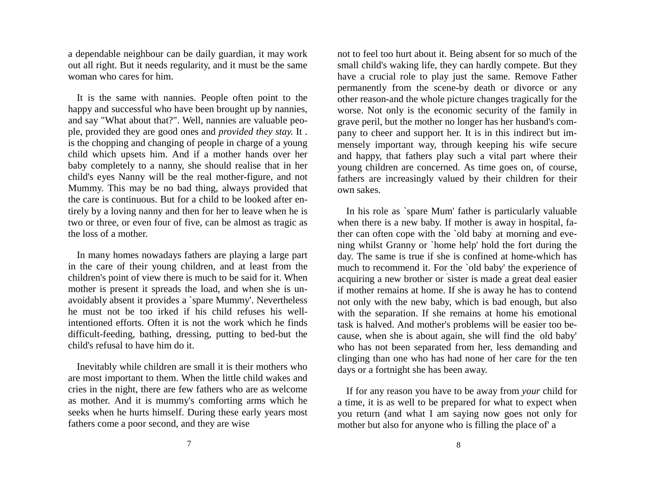a dependable neighbour can be daily guardian, it may work out all right. But it needs regularity, and it must be the same woman who cares for him.

It is the same with nannies. People often point to the happy and successful who have been brought up by nannies, and say "What about that?". Well, nannies are valuable people, provided they are good ones and *provided they stay.* It . is the chopping and changing of people in charge of a young child which upsets him. And if a mother hands over her baby completely to a nanny, she should realise that in her child's eyes Nanny will be the real mother-figure, and not Mummy. This may be no bad thing, always provided that the care is continuous. But for a child to be looked after entirely by a loving nanny and then for her to leave when he is two or three, or even four of five, can be almost as tragic as the loss of a mother.

In many homes nowadays fathers are playing a large part in the care of their young children, and at least from the children's point of view there is much to be said for it. When mother is present it spreads the load, and when she is unavoidably absent it provides a `spare Mummy'. Nevertheless he must not be too irked if his child refuses his wellintentioned efforts. Often it is not the work which he finds difficult-feeding, bathing, dressing, putting to bed-but the child's refusal to have him do it.

Inevitably while children are small it is their mothers who are most important to them. When the little child wakes and cries in the night, there are few fathers who are as welcome as mother. And it is mummy's comforting arms which he seeks when he hurts himself. During these early years most fathers come a poor second, and they are wise

not to feel too hurt about it. Being absent for so much of the small child's waking life, they can hardly compete. But they have a crucial role to play just the same. Remove Father permanently from the scene-by death or divorce or any other reason-and the whole picture changes tragically for the worse. Not only is the economic security of the family in grave peril, but the mother no longer has her husband's company to cheer and support her. It is in this indirect but immensely important way, through keeping his wife secure and happy, that fathers play such a vital part where their young children are concerned. As time goes on, of course, fathers are increasingly valued by their children for their own sakes.

In his role as `spare Mum' father is particularly valuable when there is a new baby. If mother is away in hospital, father can often cope with the `old baby' at morning and evening whilst Granny or `home help' hold the fort during the day. The same is true if she is confined at home-which has much to recommend it. For the `old baby' the experience of acquiring a new brother or 'sister is made a great deal easier if mother remains at home. If she is away he has to contend not only with the new baby, which is bad enough, but also with the separation. If she remains at home his emotional task is halved. And mother's problems will be easier too because, when she is about again, she will find the `old baby' who has not been separated from her, less demanding and clinging than one who has had none of her care for the ten days or a fortnight she has been away.

If for any reason you have to be away from *your* child for a time, it is as well to be prepared for what to expect when you return (and what I am saying now goes not only for mother but also for anyone who is filling the place of' a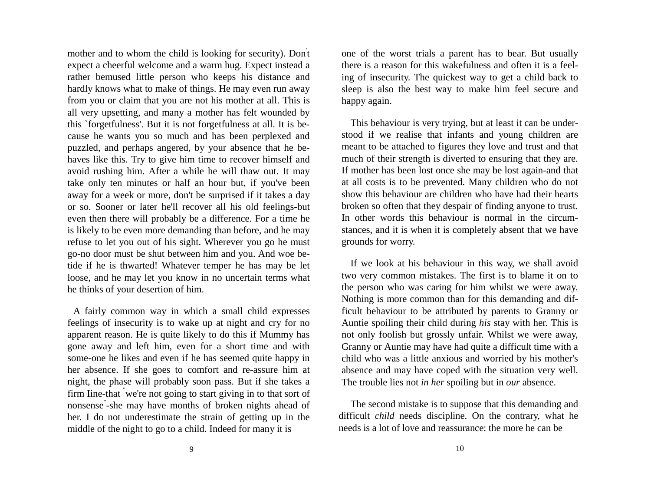mother and to whom the child is looking for security). Don't expect a cheerful welcome and a warm hug. Expect instead a rather bemused little person who keeps his distance and hardly knows what to make of things. He may even run away from you or claim that you are not his mother at all. This is all very upsetting, and many a mother has felt wounded by this `forgetfulness'. But it is not forgetfulness at all. It is because he wants you so much and has been perplexed and puzzled, and perhaps angered, by your absence that he behaves like this. Try to give him time to recover himself and avoid rushing him. After a while he will thaw out. It may take only ten minutes or half an hour but, if you've been away for a week or more, don't be surprised if it takes a day or so. Sooner or later he'll recover all his old feelings-but even then there will probably be a difference. For a time he is likely to be even more demanding than before, and he may refuse to let you out of his sight. Wherever you go he must go-no door must be shut between him and you. And woe betide if he is thwarted! Whatever temper he has may be let loose, and he may let you know in no uncertain terms what he thinks of your desertion of him.

A fairly common way in which a small child expresses feelings of insecurity is to wake up at night and cry for no apparent reason. He is quite likely to do this if Mummy has gone away and left him, even for a short time and with some-one he likes and even if he has seemed quite happy in her absence. If she goes to comfort and re-assure him at night, the phase will probably soon pass. But if she takes a firm Iine-that "we're not going to start giving in to that sort of nonsense"-she may have months of broken nights ahead of her. I do not underestimate the strain of getting up in the middle of the night to go to a child. Indeed for many it is

one of the worst trials a parent has to bear. But usually there is a reason for this wakefulness and often it is a feeling of insecurity. The quickest way to get a child back to sleep is also the best way to make him feel secure and happy again.

This behaviour is very trying, but at least it can be understood if we realise that infants and young children are meant to be attached to figures they love and trust and that much of their strength is diverted to ensuring that they are. If mother has been lost once she may be lost again-and that at all costs is to be prevented. Many children who do not show this behaviour are children who have had their hearts broken so often that they despair of finding anyone to trust. In other words this behaviour is normal in the circumstances, and it is when it is completely absent that we have grounds for worry.

If we look at his behaviour in this way, we shall avoid two very common mistakes. The first is to blame it on to the person who was caring for him whilst we were away. Nothing is more common than for this demanding and difficult behaviour to be attributed by parents to Granny or Auntie spoiling their child during *his* stay with her. This is not only foolish but grossly unfair. Whilst we were away, Granny or Auntie may have had quite a difficult time with a child who was a little anxious and worried by his mother's absence and may have coped with the situation very well. The trouble lies not *in her* spoiling but in *our* absence.

The second mistake is to suppose that this demanding and difficult *child* needs discipline. On the contrary, what he needs is a lot of love and reassurance: the more he can be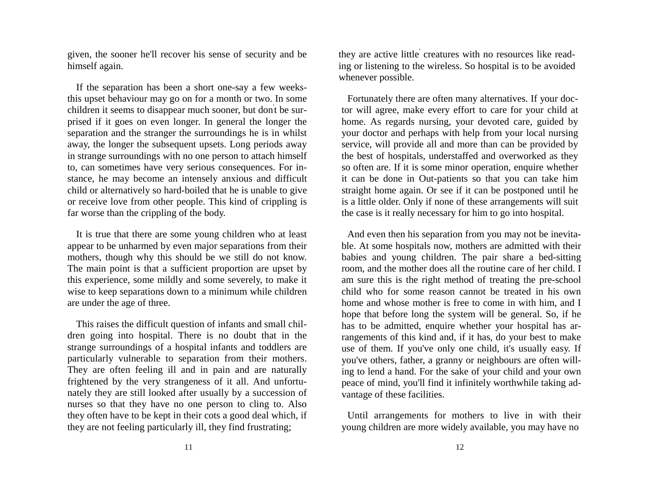given, the sooner he'll recover his sense of security and be himself again.

If the separation has been a short one-say a few weeksthis upset behaviour may go on for a month or two. In some children it seems to disappear much sooner, but don't be surprised if it goes on even longer. In general the longer the separation and the stranger the surroundings he is in whilst away, the longer the subsequent upsets. Long periods away in strange surroundings with no one person to attach himself to, can sometimes have very serious consequences. For instance, he may become an intensely anxious and difficult child or alternatively so hard-boiled that he is unable to give or receive love from other people. This kind of crippling is far worse than the crippling of the body.

It is true that there are some young children who at least appear to be unharmed by even major separations from their mothers, though why this should be we still do not know. The main point is that a sufficient proportion are upset by this experience, some mildly and some severely, to make it wise to keep separations down to a minimum while children are under the age of three.

This raises the difficult question of infants and small children going into hospital. There is no doubt that in the strange surroundings of a hospital infants and toddlers are particularly vulnerable to separation from their mothers. They are often feeling ill and in pain and are naturally frightened by the very strangeness of it all. And unfortunately they are still looked after usually by a succession of nurses so that they have no one person to cling to. Also they often have to be kept in their cots a good deal which, if they are not feeling particularly ill, they find frustrating;

they are active little ' creatures with no resources like reading or listening to the wireless. So hospital is to be avoided whenever possible.

Fortunately there are often many alternatives. If your doctor will agree, make every effort to care for your child at home. As regards nursing, your devoted care, guided by your doctor and perhaps with help from your local nursing service, will provide all and more than can be provided by the best of hospitals, understaffed and overworked as they so often are. If it is some minor operation, enquire whether it can be done in Out-patients so that you can take him straight home again. Or see if it can be postponed until he is a little older. Only if none of these arrangements will suit the case is it really necessary for him to go into hospital.

And even then his separation from you may not be inevitable. At some hospitals now, mothers are admitted with their babies and young children. The pair share a bed-sitting room, and the mother does all the routine care of her child. I am sure this is the right method of treating the pre-school child who for some reason cannot be treated in his own home and whose mother is free to come in with him, and I hope that before long the system will be general. So, if he has to be admitted, enquire whether your hospital has arrangements of this kind and, if it has, do your best to make use of them. If you've only one child, it's usually easy. If you've others, father, a granny or neighbours are often willing to lend a hand. For the sake of your child and your own peace of mind, you'll find it infinitely worthwhile taking advantage of these facilities.

Until arrangements for mothers to live in with their young children are more widely available, you may have no